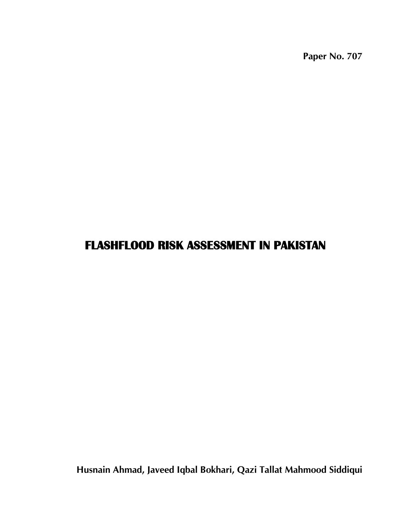**Paper No. 707**

# **FLASHFLOOD RISK ASSESSMENT IN PAKISTAN**

**Husnain Ahmad, Javeed Iqbal Bokhari, Qazi Tallat Mahmood Siddiqui**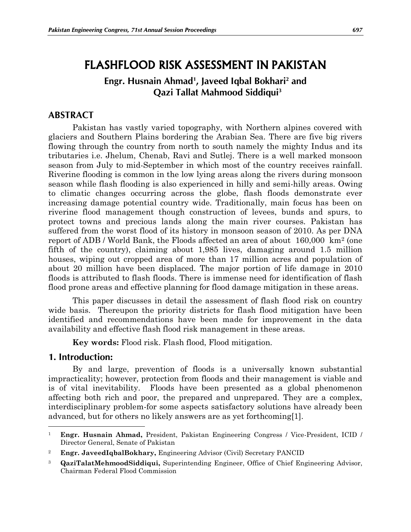# FLASHFLOOD RISK ASSESSMENT IN PAKISTAN

# **Engr. Husnain Ahmad<sup>1</sup> , Javeed Iqbal Bokhari<sup>2</sup> and Qazi Tallat Mahmood Siddiqui<sup>3</sup>**

## **ABSTRACT**

Pakistan has vastly varied topography, with Northern alpines covered with glaciers and Southern Plains bordering the Arabian Sea. There are five big rivers flowing through the country from north to south namely the mighty Indus and its tributaries i.e. Jhelum, Chenab, Ravi and Sutlej. There is a well marked monsoon season from July to mid-September in which most of the country receives rainfall. Riverine flooding is common in the low lying areas along the rivers during monsoon season while flash flooding is also experienced in hilly and semi-hilly areas. Owing to climatic changes occurring across the globe, flash floods demonstrate ever increasing damage potential country wide. Traditionally, main focus has been on riverine flood management though construction of levees, bunds and spurs, to protect towns and precious lands along the main river courses. Pakistan has suffered from the worst flood of its history in monsoon season of 2010. As per DNA report of ADB / World Bank, the Floods affected an area of about 160,000 km<sup>2</sup> (one fifth of the country), claiming about 1,985 lives, damaging around 1.5 million houses, wiping out cropped area of more than 17 million acres and population of about 20 million have been displaced. The major portion of life damage in 2010 floods is attributed to flash floods. There is immense need for identification of flash flood prone areas and effective planning for flood damage mitigation in these areas.

This paper discusses in detail the assessment of flash flood risk on country wide basis. Thereupon the priority districts for flash flood mitigation have been identified and recommendations have been made for improvement in the data availability and effective flash flood risk management in these areas.

**Key words:** Flood risk. Flash flood, Flood mitigation.

### **1. Introduction:**

 $\overline{a}$ 

By and large, prevention of floods is a universally known substantial impracticality; however, protection from floods and their management is viable and is of vital inevitability. Floods have been presented as a global phenomenon affecting both rich and poor, the prepared and unprepared. They are a complex, interdisciplinary problem-for some aspects satisfactory solutions have already been advanced, but for others no likely answers are as yet forthcoming[1].

<sup>1</sup> **Engr. Husnain Ahmad,** President, Pakistan Engineering Congress / Vice-President, ICID / Director General, Senate of Pakistan

<sup>2</sup> **Engr. JaveedIqbalBokhary,** Engineering Advisor (Civil) Secretary PANCID

<sup>3</sup> **QaziTalatMehmoodSiddiqui,** Superintending Engineer, Office of Chief Engineering Advisor, Chairman Federal Flood Commission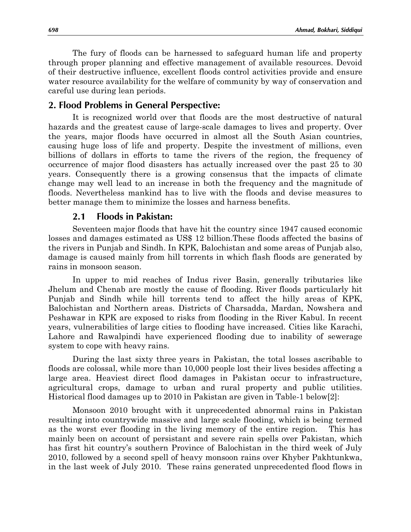The fury of floods can be harnessed to safeguard human life and property through proper planning and effective management of available resources. Devoid of their destructive influence, excellent floods control activities provide and ensure water resource availability for the welfare of community by way of conservation and careful use during lean periods.

#### **2. Flood Problems in General Perspective:**

It is recognized world over that floods are the most destructive of natural hazards and the greatest cause of large-scale damages to lives and property. Over the years, major floods have occurred in almost all the South Asian countries, causing huge loss of life and property. Despite the investment of millions, even billions of dollars in efforts to tame the rivers of the region, the frequency of occurrence of major flood disasters has actually increased over the past 25 to 30 years. Consequently there is a growing consensus that the impacts of climate change may well lead to an increase in both the frequency and the magnitude of floods. Nevertheless mankind has to live with the floods and devise measures to better manage them to minimize the losses and harness benefits.

#### **2.1 Floods in Pakistan:**

Seventeen major floods that have hit the country since 1947 caused economic losses and damages estimated as US\$ 12 billion.These floods affected the basins of the rivers in Punjab and Sindh. In KPK, Balochistan and some areas of Punjab also, damage is caused mainly from hill torrents in which flash floods are generated by rains in monsoon season.

In upper to mid reaches of Indus river Basin, generally tributaries like Jhelum and Chenab are mostly the cause of flooding. River floods particularly hit Punjab and Sindh while hill torrents tend to affect the hilly areas of KPK, Balochistan and Northern areas. Districts of Charsadda, Mardan, Nowshera and Peshawar in KPK are exposed to risks from flooding in the River Kabul. In recent years, vulnerabilities of large cities to flooding have increased. Cities like Karachi, Lahore and Rawalpindi have experienced flooding due to inability of sewerage system to cope with heavy rains.

During the last sixty three years in Pakistan, the total losses ascribable to floods are colossal, while more than 10,000 people lost their lives besides affecting a large area. Heaviest direct flood damages in Pakistan occur to infrastructure, agricultural crops, damage to urban and rural property and public utilities. Historical flood damages up to 2010 in Pakistan are given in Table-1 below[2]:

Monsoon 2010 brought with it unprecedented abnormal rains in Pakistan resulting into countrywide massive and large scale flooding, which is being termed as the worst ever flooding in the living memory of the entire region. This has mainly been on account of persistant and severe rain spells over Pakistan, which has first hit country's southern Province of Balochistan in the third week of July 2010, followed by a second spell of heavy monsoon rains over Khyber Pakhtunkwa, in the last week of July 2010. These rains generated unprecedented flood flows in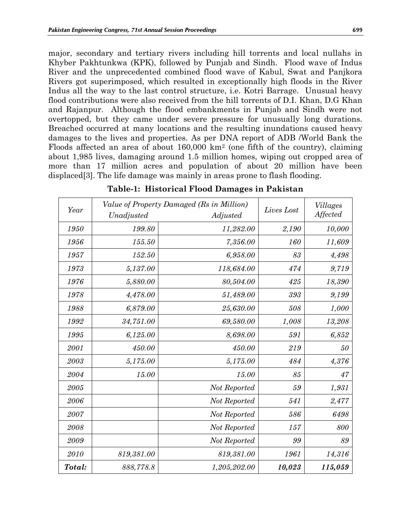major, secondary and tertiary rivers including hill torrents and local nullahs in Khyber Pakhtunkwa (KPK), followed by Punjab and Sindh. Flood wave of Indus River and the unprecedented combined flood wave of Kabul, Swat and Panjkora Rivers got superimposed, which resulted in exceptionally high floods in the River Indus all the way to the last control structure, i.e. Kotri Barrage. Unusual heavy flood contributions were also received from the hill torrents of D.I. Khan, D.G Khan and Rajanpur. Although the flood embankments in Punjab and Sindh were not overtopped, but they came under severe pressure for unusually long durations. Breached occurred at many locations and the resulting inundations caused heavy damages to the lives and properties. As per DNA report of ADB /World Bank the Floods affected an area of about 160,000 km<sup>2</sup> (one fifth of the country), claiming about 1,985 lives, damaging around 1.5 million homes, wiping out cropped area of more than 17 million acres and population of about 20 million have been displaced[3]. The life damage was mainly in areas prone to flash flooding.

| Year   | Unadjusted | Value of Property Damaged (Rs in Million)<br>Adjusted | Lives Lost | <b>Villages</b><br>Affected |
|--------|------------|-------------------------------------------------------|------------|-----------------------------|
| 1950   | 199.80     | 11,282.00                                             | 2,190      | 10,000                      |
| 1956   | 155.50     | 7,356.00                                              | 160        | 11,609                      |
| 1957   | 152.50     | 6,958.00                                              | 83         | 4,498                       |
| 1973   | 5,137.00   | 118,684.00                                            | 474        | 9,719                       |
| 1976   | 5,880.00   | 80,504.00                                             | 425        | 18,390                      |
| 1978   | 4,478.00   | 51,489.00                                             | 393        | 9,199                       |
| 1988   | 6,879.00   | 25,630.00                                             | 508        | 1,000                       |
| 1992   | 34,751.00  | 69,580.00                                             | 1,008      | 13,208                      |
| 1995   | 6,125.00   | 8,698.00                                              | 591        | 6,852                       |
| 2001   | 450.00     | 450.00                                                | 219        | 50                          |
| 2003   | 5,175.00   | 5,175.00                                              | 484        | 4,376                       |
| 2004   | 15.00      | 15.00                                                 | 85         | 47                          |
| 2005   |            | Not Reported                                          | 59         | 1,931                       |
| 2006   |            | Not Reported                                          | 541        | 2,477                       |
| 2007   |            | Not Reported                                          | 586        | 6498                        |
| 2008   |            | Not Reported                                          | 157        | 800                         |
| 2009   |            | Not Reported                                          | 99         | 89                          |
| 2010   | 819,381.00 | 819,381.00                                            | 1961       | 14,316                      |
| Total: | 888,778.8  | 1,205,202.00                                          | 10,023     | 115,059                     |

**Table-1: Historical Flood Damages in Pakistan**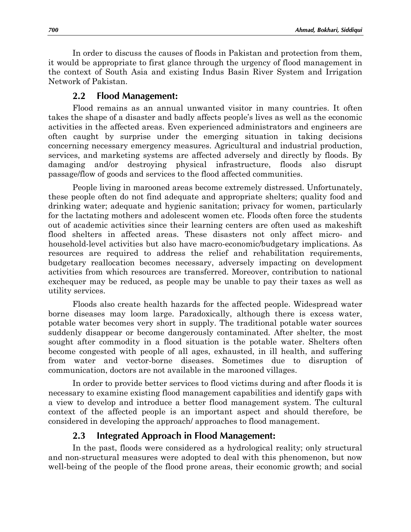In order to discuss the causes of floods in Pakistan and protection from them, it would be appropriate to first glance through the urgency of flood management in the context of South Asia and existing Indus Basin River System and Irrigation Network of Pakistan.

#### **2.2 Flood Management:**

Flood remains as an annual unwanted visitor in many countries. It often takes the shape of a disaster and badly affects people's lives as well as the economic activities in the affected areas. Even experienced administrators and engineers are often caught by surprise under the emerging situation in taking decisions concerning necessary emergency measures. Agricultural and industrial production, services, and marketing systems are affected adversely and directly by floods. By damaging and/or destroying physical infrastructure, floods also disrupt passage/flow of goods and services to the flood affected communities.

People living in marooned areas become extremely distressed. Unfortunately, these people often do not find adequate and appropriate shelters; quality food and drinking water; adequate and hygienic sanitation; privacy for women, particularly for the lactating mothers and adolescent women etc. Floods often force the students out of academic activities since their learning centers are often used as makeshift flood shelters in affected areas. These disasters not only affect micro- and household-level activities but also have macro-economic/budgetary implications. As resources are required to address the relief and rehabilitation requirements, budgetary reallocation becomes necessary, adversely impacting on development activities from which resources are transferred. Moreover, contribution to national exchequer may be reduced, as people may be unable to pay their taxes as well as utility services.

Floods also create health hazards for the affected people. Widespread water borne diseases may loom large. Paradoxically, although there is excess water, potable water becomes very short in supply. The traditional potable water sources suddenly disappear or become dangerously contaminated. After shelter, the most sought after commodity in a flood situation is the potable water. Shelters often become congested with people of all ages, exhausted, in ill health, and suffering from water and vector-borne diseases. Sometimes due to disruption of communication, doctors are not available in the marooned villages.

In order to provide better services to flood victims during and after floods it is necessary to examine existing flood management capabilities and identify gaps with a view to develop and introduce a better flood management system. The cultural context of the affected people is an important aspect and should therefore, be considered in developing the approach/ approaches to flood management.

### **2.3 Integrated Approach in Flood Management:**

In the past, floods were considered as a hydrological reality; only structural and non-structural measures were adopted to deal with this phenomenon, but now well-being of the people of the flood prone areas, their economic growth; and social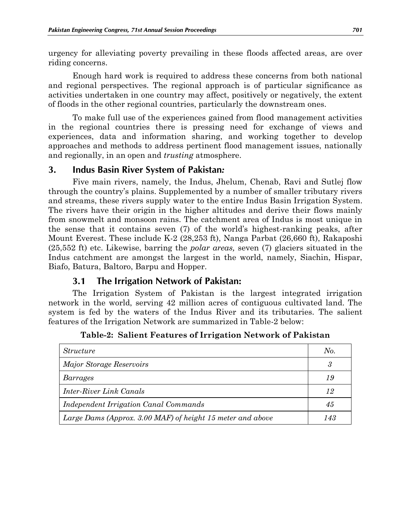urgency for alleviating poverty prevailing in these floods affected areas, are over riding concerns.

Enough hard work is required to address these concerns from both national and regional perspectives. The regional approach is of particular significance as activities undertaken in one country may affect, positively or negatively, the extent of floods in the other regional countries, particularly the downstream ones.

To make full use of the experiences gained from flood management activities in the regional countries there is pressing need for exchange of views and experiences, data and information sharing, and working together to develop approaches and methods to address pertinent flood management issues, nationally and regionally, in an open and *trusting* atmosphere.

### **3. Indus Basin River System of Pakistan***:*

Five main rivers, namely, the Indus, Jhelum, Chenab, Ravi and Sutlej flow through the country's plains. Supplemented by a number of smaller tributary rivers and streams, these rivers supply water to the entire Indus Basin Irrigation System. The rivers have their origin in the higher altitudes and derive their flows mainly from snowmelt and monsoon rains. The catchment area of Indus is most unique in the sense that it contains seven (7) of the world's highest-ranking peaks, after Mount Everest. These include K-2 (28,253 ft), Nanga Parbat (26,660 ft), Rakaposhi (25,552 ft) etc. Likewise, barring the *polar areas,* seven (7) glaciers situated in the Indus catchment are amongst the largest in the world, namely, Siachin, Hispar, Biafo, Batura, Baltoro, Barpu and Hopper.

### **3.1 The Irrigation Network of Pakistan:**

The Irrigation System of Pakistan is the largest integrated irrigation network in the world, serving 42 million acres of contiguous cultivated land. The system is fed by the waters of the Indus River and its tributaries. The salient features of the Irrigation Network are summarized in Table-2 below:

| <i>Structure</i>                                           | No. |
|------------------------------------------------------------|-----|
| Major Storage Reservoirs                                   | 3   |
| Barrages                                                   | 19  |
| Inter-River Link Canals                                    | 12  |
| Independent Irrigation Canal Commands                      | 45  |
| Large Dams (Approx. 3.00 MAF) of height 15 meter and above |     |

**Table-2: Salient Features of Irrigation Network of Pakistan**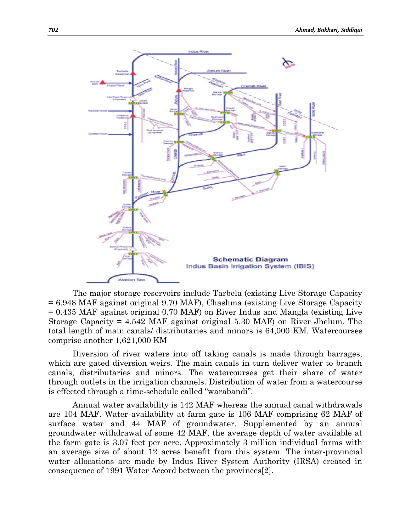

The major storage reservoirs include Tarbela (existing Live Storage Capacity = 6.948 MAF against original 9.70 MAF), Chashma (existing Live Storage Capacity = 0.435 MAF against original 0.70 MAF) on River Indus and Mangla (existing Live Storage Capacity = 4.542 MAF against original 5.30 MAF) on River Jhelum. The total length of main canals/ distributaries and minors is 64,000 KM. Watercourses comprise another 1,621,000 KM

Diversion of river waters into off taking canals is made through barrages, which are gated diversion weirs. The main canals in turn deliver water to branch canals, distributaries and minors. The watercourses get their share of water through outlets in the irrigation channels. Distribution of water from a watercourse is effected through a time-schedule called "warabandi".

Annual water availability is 142 MAF whereas the annual canal withdrawals are 104 MAF. Water availability at farm gate is 106 MAF comprising 62 MAF of surface water and 44 MAF of groundwater. Supplemented by an annual groundwater withdrawal of some 42 MAF, the average depth of water available at the farm gate is 3.07 feet per acre. Approximately 3 million individual farms with an average size of about 12 acres benefit from this system. The inter-provincial water allocations are made by Indus River System Authority (IRSA) created in consequence of 1991 Water Accord between the provinces[2].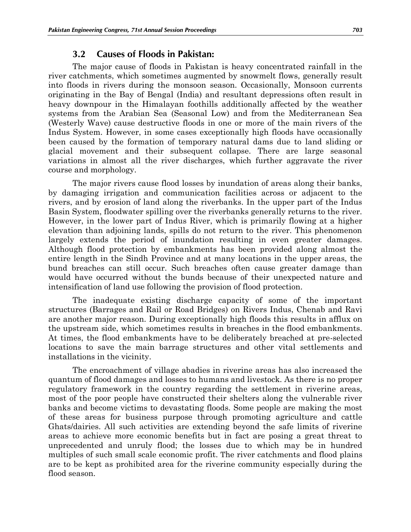### **3.2 Causes of Floods in Pakistan:**

The major cause of floods in Pakistan is heavy concentrated rainfall in the river catchments, which sometimes augmented by snowmelt flows, generally result into floods in rivers during the monsoon season. Occasionally, Monsoon currents originating in the Bay of Bengal (India) and resultant depressions often result in heavy downpour in the Himalayan foothills additionally affected by the weather systems from the Arabian Sea (Seasonal Low) and from the Mediterranean Sea (Westerly Wave) cause destructive floods in one or more of the main rivers of the Indus System. However, in some cases exceptionally high floods have occasionally been caused by the formation of temporary natural dams due to land sliding or glacial movement and their subsequent collapse. There are large seasonal variations in almost all the river discharges, which further aggravate the river course and morphology.

The major rivers cause flood losses by inundation of areas along their banks, by damaging irrigation and communication facilities across or adjacent to the rivers, and by erosion of land along the riverbanks. In the upper part of the Indus Basin System, floodwater spilling over the riverbanks generally returns to the river. However, in the lower part of Indus River, which is primarily flowing at a higher elevation than adjoining lands, spills do not return to the river. This phenomenon largely extends the period of inundation resulting in even greater damages. Although flood protection by embankments has been provided along almost the entire length in the Sindh Province and at many locations in the upper areas, the bund breaches can still occur. Such breaches often cause greater damage than would have occurred without the bunds because of their unexpected nature and intensification of land use following the provision of flood protection.

The inadequate existing discharge capacity of some of the important structures (Barrages and Rail or Road Bridges) on Rivers Indus, Chenab and Ravi are another major reason. During exceptionally high floods this results in afflux on the upstream side, which sometimes results in breaches in the flood embankments. At times, the flood embankments have to be deliberately breached at pre-selected locations to save the main barrage structures and other vital settlements and installations in the vicinity.

The encroachment of village abadies in riverine areas has also increased the quantum of flood damages and losses to humans and livestock. As there is no proper regulatory framework in the country regarding the settlement in riverine areas, most of the poor people have constructed their shelters along the vulnerable river banks and become victims to devastating floods. Some people are making the most of these areas for business purpose through promoting agriculture and cattle Ghats/dairies. All such activities are extending beyond the safe limits of riverine areas to achieve more economic benefits but in fact are posing a great threat to unprecedented and unruly flood; the losses due to which may be in hundred multiples of such small scale economic profit. The river catchments and flood plains are to be kept as prohibited area for the riverine community especially during the flood season.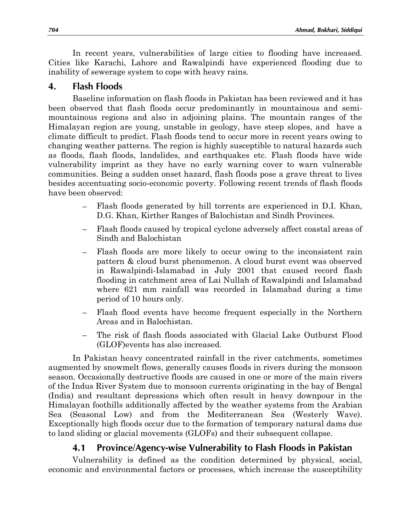In recent years, vulnerabilities of large cities to flooding have increased. Cities like Karachi, Lahore and Rawalpindi have experienced flooding due to inability of sewerage system to cope with heavy rains.

## **4. Flash Floods**

Baseline information on flash floods in Pakistan has been reviewed and it has been observed that flash floods occur predominantly in mountainous and semimountainous regions and also in adjoining plains. The mountain ranges of the Himalayan region are young, unstable in geology, have steep slopes, and have a climate difficult to predict. Flash floods tend to occur more in recent years owing to changing weather patterns. The region is highly susceptible to natural hazards such as floods, flash floods, landslides, and earthquakes etc. Flash floods have wide vulnerability imprint as they have no early warning cover to warn vulnerable communities. Being a sudden onset hazard, flash floods pose a grave threat to lives besides accentuating socio-economic poverty. Following recent trends of flash floods have been observed:

- Flash floods generated by hill torrents are experienced in D.I. Khan, D.G. Khan, Kirther Ranges of Balochistan and Sindh Provinces.
- Flash floods caused by tropical cyclone adversely affect coastal areas of  $\frac{1}{2}$ Sindh and Balochistan
- Flash floods are more likely to occur owing to the inconsistent rain pattern & cloud burst phenomenon. A cloud burst event was observed in Rawalpindi-Islamabad in July 2001 that caused record flash flooding in catchment area of Lai Nullah of Rawalpindi and Islamabad where 621 mm rainfall was recorded in Islamabad during a time period of 10 hours only.
- Flash flood events have become frequent especially in the Northern Areas and in Balochistan.
- The risk of flash floods associated with Glacial Lake Outburst Flood (GLOF)events has also increased.

In Pakistan heavy concentrated rainfall in the river catchments, sometimes augmented by snowmelt flows, generally causes floods in rivers during the monsoon season. Occasionally destructive floods are caused in one or more of the main rivers of the Indus River System due to monsoon currents originating in the bay of Bengal (India) and resultant depressions which often result in heavy downpour in the Himalayan foothills additionally affected by the weather systems from the Arabian Sea (Seasonal Low) and from the Mediterranean Sea (Westerly Wave). Exceptionally high floods occur due to the formation of temporary natural dams due to land sliding or glacial movements (GLOFs) and their subsequent collapse.

# **4.1 Province/Agency-wise Vulnerability to Flash Floods in Pakistan**

Vulnerability is defined as the condition determined by physical, social, economic and environmental factors or processes, which increase the susceptibility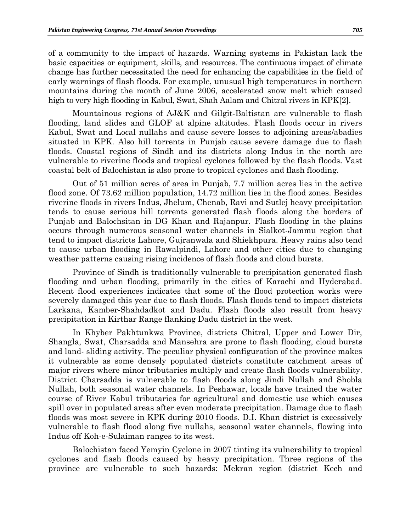of a community to the impact of hazards. Warning systems in Pakistan lack the basic capacities or equipment, skills, and resources. The continuous impact of climate change has further necessitated the need for enhancing the capabilities in the field of early warnings of flash floods. For example, unusual high temperatures in northern mountains during the month of June 2006, accelerated snow melt which caused high to very high flooding in Kabul, Swat, Shah Aalam and Chitral rivers in KPK[2].

Mountainous regions of AJ&K and Gilgit-Baltistan are vulnerable to flash flooding, land slides and GLOF at alpine altitudes. Flash floods occur in rivers Kabul, Swat and Local nullahs and cause severe losses to adjoining areas/abadies situated in KPK. Also hill torrents in Punjab cause severe damage due to flash floods. Coastal regions of Sindh and its districts along Indus in the north are vulnerable to riverine floods and tropical cyclones followed by the flash floods. Vast coastal belt of Balochistan is also prone to tropical cyclones and flash flooding.

Out of 51 million acres of area in Punjab, 7.7 million acres lies in the active flood zone. Of 73.62 million population, 14.72 million lies in the flood zones. Besides riverine floods in rivers Indus, Jhelum, Chenab, Ravi and Sutlej heavy precipitation tends to cause serious hill torrents generated flash floods along the borders of Punjab and Balochsitan in DG Khan and Rajanpur. Flash flooding in the plains occurs through numerous seasonal water channels in Sialkot-Jammu region that tend to impact districts Lahore, Gujranwala and Shiekhpura. Heavy rains also tend to cause urban flooding in Rawalpindi, Lahore and other cities due to changing weather patterns causing rising incidence of flash floods and cloud bursts.

Province of Sindh is traditionally vulnerable to precipitation generated flash flooding and urban flooding, primarily in the cities of Karachi and Hyderabad. Recent flood experiences indicates that some of the flood protection works were severely damaged this year due to flash floods. Flash floods tend to impact districts Larkana, Kamber-Shahdadkot and Dadu. Flash floods also result from heavy precipitation in Kirthar Range flanking Dadu district in the west.

In Khyber Pakhtunkwa Province, districts Chitral, Upper and Lower Dir, Shangla, Swat, Charsadda and Mansehra are prone to flash flooding, cloud bursts and land- sliding activity. The peculiar physical configuration of the province makes it vulnerable as some densely populated districts constitute catchment areas of major rivers where minor tributaries multiply and create flash floods vulnerability. District Charsadda is vulnerable to flash floods along Jindi Nullah and Shobla Nullah, both seasonal water channels. In Peshawar, locals have trained the water course of River Kabul tributaries for agricultural and domestic use which causes spill over in populated areas after even moderate precipitation. Damage due to flash floods was most severe in KPK during 2010 floods. D.I. Khan district is excessively vulnerable to flash flood along five nullahs, seasonal water channels, flowing into Indus off Koh-e-Sulaiman ranges to its west.

Balochistan faced Yemyin Cyclone in 2007 tinting its vulnerability to tropical cyclones and flash floods caused by heavy precipitation. Three regions of the province are vulnerable to such hazards: Mekran region (district Kech and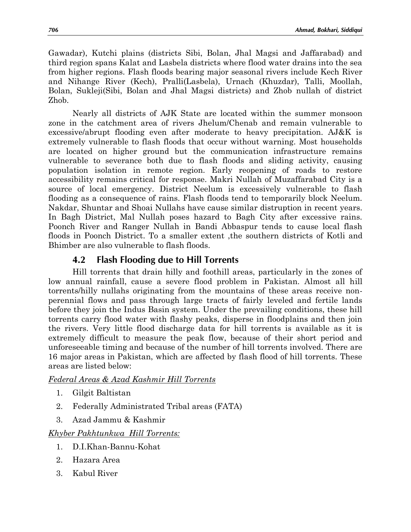Gawadar), Kutchi plains (districts Sibi, Bolan, Jhal Magsi and Jaffarabad) and third region spans Kalat and Lasbela districts where flood water drains into the sea from higher regions. Flash floods bearing major seasonal rivers include Kech River and Nihange River (Kech), Pralli(Lasbela), Urnach (Khuzdar), Talli, Moollah, Bolan, Sukleji(Sibi, Bolan and Jhal Magsi districts) and Zhob nullah of district Zhob.

Nearly all districts of AJK State are located within the summer monsoon zone in the catchment area of rivers Jhelum/Chenab and remain vulnerable to excessive/abrupt flooding even after moderate to heavy precipitation. AJ&K is extremely vulnerable to flash floods that occur without warning. Most households are located on higher ground but the communication infrastructure remains vulnerable to severance both due to flash floods and sliding activity, causing population isolation in remote region. Early reopening of roads to restore accessibility remains critical for response. Makri Nullah of Muzaffarabad City is a source of local emergency. District Neelum is excessively vulnerable to flash flooding as a consequence of rains. Flash floods tend to temporarily block Neelum. Nakdar, Shuntar and Shoai Nullahs have cause similar distruption in recent years. In Bagh District, Mal Nullah poses hazard to Bagh City after excessive rains. Poonch River and Ranger Nullah in Bandi Abbaspur tends to cause local flash floods in Poonch District. To a smaller extent ,the southern districts of Kotli and Bhimber are also vulnerable to flash floods.

# **4.2 Flash Flooding due to Hill Torrents**

Hill torrents that drain hilly and foothill areas, particularly in the zones of low annual rainfall, cause a severe flood problem in Pakistan. Almost all hill torrents/hilly nullahs originating from the mountains of these areas receive nonperennial flows and pass through large tracts of fairly leveled and fertile lands before they join the Indus Basin system. Under the prevailing conditions, these hill torrents carry flood water with flashy peaks, disperse in floodplains and then join the rivers. Very little flood discharge data for hill torrents is available as it is extremely difficult to measure the peak flow, because of their short period and unforeseeable timing and because of the number of hill torrents involved. There are 16 major areas in Pakistan, which are affected by flash flood of hill torrents. These areas are listed below:

### *Federal Areas & Azad Kashmir Hill Torrents*

- 1. Gilgit Baltistan
- 2. Federally Administrated Tribal areas (FATA)
- 3. Azad Jammu & Kashmir

### *Khyber Pakhtunkwa Hill Torrents:*

- 1. D.I.Khan-Bannu-Kohat
- 2. Hazara Area
- 3. Kabul River